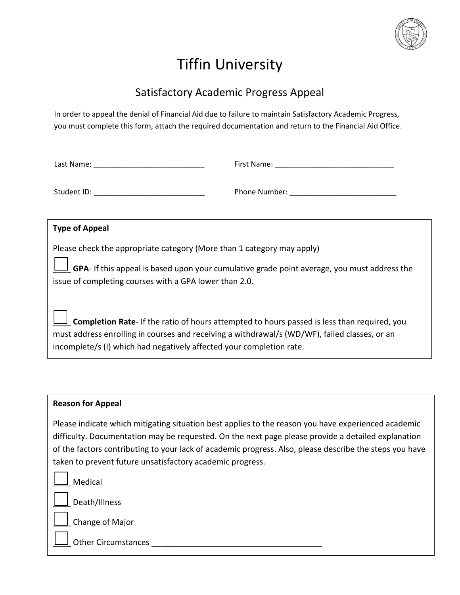

## Tiffin University

## Satisfactory Academic Progress Appeal

In order to appeal the denial of Financial Aid due to failure to maintain Satisfactory Academic Progress, you must complete this form, attach the required documentation and return to the Financial Aid Office.

| Last Name: |  |
|------------|--|
|------------|--|

Last Name: \_\_\_\_\_\_\_\_\_\_\_\_\_\_\_\_\_\_\_\_\_\_\_\_\_\_\_ First Name: \_\_\_\_\_\_\_\_\_\_\_\_\_\_\_\_\_\_\_\_\_\_\_\_\_\_\_\_\_

Student ID: \_\_\_\_\_\_\_\_\_\_\_\_\_\_\_\_\_\_\_\_\_\_\_\_\_\_\_ Phone Number: \_\_\_\_\_\_\_\_\_\_\_\_\_\_\_\_\_\_\_\_\_\_\_\_\_\_

## **Type of Appeal**

Please check the appropriate category (More than 1 category may apply)

\_\_\_\_ **GPA**- If this appeal is based upon your cumulative grade point average, you must address the issue of completing courses with a GPA lower than 2.0.

\_\_\_\_ **Completion Rate**- If the ratio of hours attempted to hours passed is less than required, you must address enrolling in courses and receiving a withdrawal/s (WD/WF), failed classes, or an incomplete/s (I) which had negatively affected your completion rate.

## **Reason for Appeal**

Please indicate which mitigating situation best applies to the reason you have experienced academic difficulty. Documentation may be requested. On the next page please provide a detailed explanation of the factors contributing to your lack of academic progress. Also, please describe the steps you have taken to prevent future unsatisfactory academic progress.

\_\_\_\_ Medical

\_\_\_\_ Death/Illness

\_\_\_\_ Change of Major

\_\_\_\_ Other Circumstances \_\_\_\_\_\_\_\_\_\_\_\_\_\_\_\_\_\_\_\_\_\_\_\_\_\_\_\_\_\_\_\_\_\_\_\_\_\_